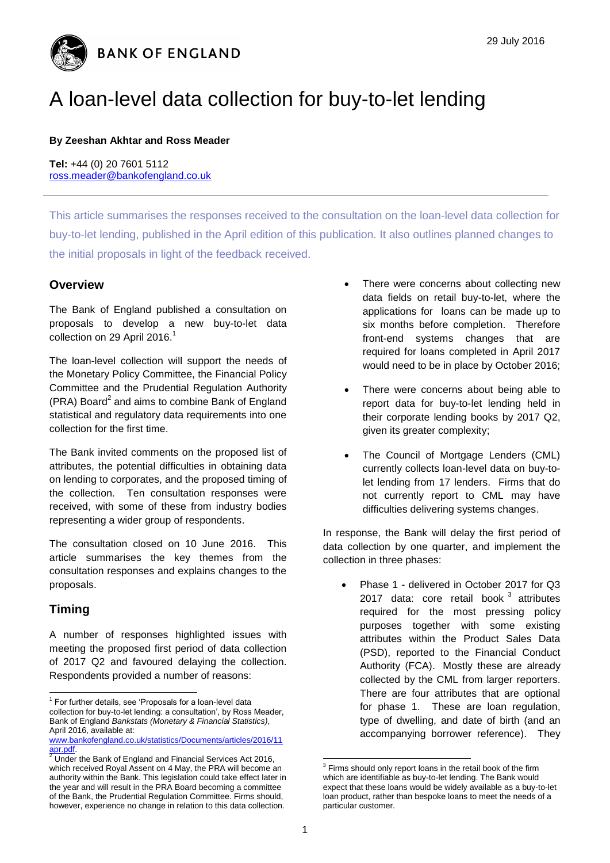**BANK OF ENGLAND** 

# A loan-level data collection for buy-to-let lending

#### **By Zeeshan Akhtar and Ross Meader**

**Tel:** +44 (0) 20 7601 5112 [ross.meader@bankofengland.co.uk](mailto:ross.meader@bankofengland.co.uk)

This article summarises the responses received to the consultation on the loan-level data collection for buy-to-let lending, published in the April edition of this publication. It also outlines planned changes to the initial proposals in light of the feedback received.

#### **Overview**

The Bank of England published a consultation on proposals to develop a new buy-to-let data collection on 29 April 2016.<sup>1</sup>

The loan-level collection will support the needs of the Monetary Policy Committee, the Financial Policy Committee and the Prudential Regulation Authority (PRA) Board<sup>2</sup> and aims to combine Bank of England statistical and regulatory data requirements into one collection for the first time.

The Bank invited comments on the proposed list of attributes, the potential difficulties in obtaining data on lending to corporates, and the proposed timing of the collection. Ten consultation responses were received, with some of these from industry bodies representing a wider group of respondents.

The consultation closed on 10 June 2016. This article summarises the key themes from the consultation responses and explains changes to the proposals.

### **Timing**

A number of responses highlighted issues with meeting the proposed first period of data collection of 2017 Q2 and favoured delaying the collection. Respondents provided a number of reasons:

- There were concerns about collecting new data fields on retail buy-to-let, where the applications for loans can be made up to six months before completion. Therefore front-end systems changes that are required for loans completed in April 2017 would need to be in place by October 2016;
- There were concerns about being able to report data for buy-to-let lending held in their corporate lending books by 2017 Q2, given its greater complexity;
- The Council of Mortgage Lenders (CML) currently collects loan-level data on buy-tolet lending from 17 lenders. Firms that do not currently report to CML may have difficulties delivering systems changes.

In response, the Bank will delay the first period of data collection by one quarter, and implement the collection in three phases:

• Phase 1 - delivered in October 2017 for Q3 2017 data: core retail book<sup>3</sup> attributes required for the most pressing policy purposes together with some existing attributes within the Product Sales Data (PSD), reported to the Financial Conduct Authority (FCA). Mostly these are already collected by the CML from larger reporters. There are four attributes that are optional for phase 1. These are loan regulation, type of dwelling, and date of birth (and an accompanying borrower reference). They

 1 For further details, see 'Proposals for a loan-level data collection for buy-to-let lending: a consultation', by Ross Meader, Bank of England *Bankstats (Monetary & Financial Statistics)*, April 2016, available at:

[www.bankofengland.co.uk/statistics/Documents/articles/2016/11](http://www.bankofengland.co.uk/statistics/Documents/articles/2016/11apr.pdf) [apr.pdf.](http://www.bankofengland.co.uk/statistics/Documents/articles/2016/11apr.pdf)

apr.pdr.<br><sup>2</sup> Under the Bank of England and Financial Services Act 2016, which received Royal Assent on 4 May, the PRA will become an authority within the Bank. This legislation could take effect later in the year and will result in the PRA Board becoming a committee of the Bank, the Prudential Regulation Committee. Firms should, however, experience no change in relation to this data collection.

 3 Firms should only report loans in the retail book of the firm which are identifiable as buy-to-let lending. The Bank would expect that these loans would be widely available as a buy-to-let loan product, rather than bespoke loans to meet the needs of a particular customer.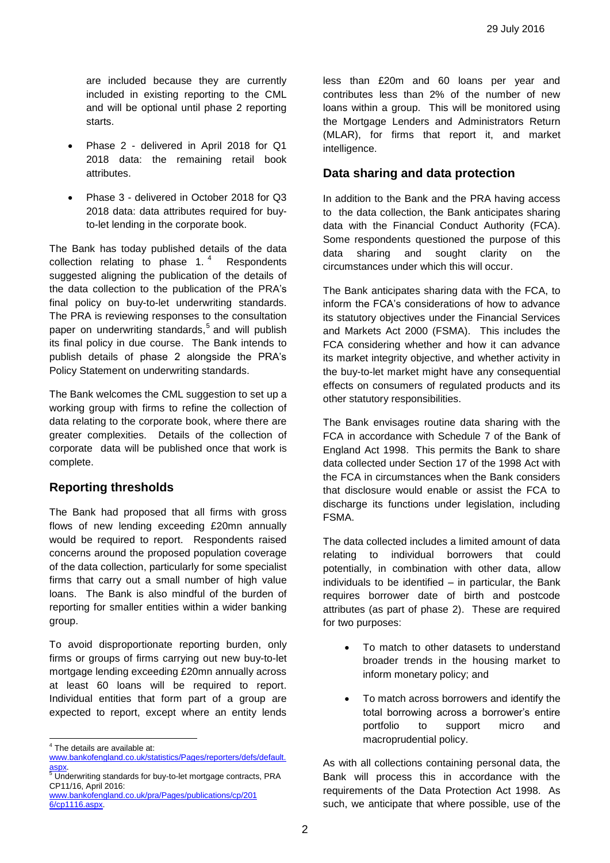are included because they are currently included in existing reporting to the CML and will be optional until phase 2 reporting starts.

- Phase 2 delivered in April 2018 for Q1 2018 data: the remaining retail book attributes.
- Phase 3 delivered in October 2018 for Q3 2018 data: data attributes required for buyto-let lending in the corporate book.

The Bank has today published details of the data collection relating to phase  $1.^4$  Respondents suggested aligning the publication of the details of the data collection to the publication of the PRA's final policy on buy-to-let underwriting standards. The PRA is reviewing responses to the consultation paper on underwriting standards, 5 and will publish its final policy in due course. The Bank intends to publish details of phase 2 alongside the PRA's Policy Statement on underwriting standards.

The Bank welcomes the CML suggestion to set up a working group with firms to refine the collection of data relating to the corporate book, where there are greater complexities. Details of the collection of corporate data will be published once that work is complete.

### **Reporting thresholds**

The Bank had proposed that all firms with gross flows of new lending exceeding £20mn annually would be required to report. Respondents raised concerns around the proposed population coverage of the data collection, particularly for some specialist firms that carry out a small number of high value loans. The Bank is also mindful of the burden of reporting for smaller entities within a wider banking group.

To avoid disproportionate reporting burden, only firms or groups of firms carrying out new buy-to-let mortgage lending exceeding £20mn annually across at least 60 loans will be required to report. Individual entities that form part of a group are expected to report, except where an entity lends

less than £20m and 60 loans per year and contributes less than 2% of the number of new loans within a group. This will be monitored using the Mortgage Lenders and Administrators Return (MLAR), for firms that report it, and market intelligence.

## **Data sharing and data protection**

In addition to the Bank and the PRA having access to the data collection, the Bank anticipates sharing data with the Financial Conduct Authority (FCA). Some respondents questioned the purpose of this data sharing and sought clarity on the circumstances under which this will occur.

The Bank anticipates sharing data with the FCA, to inform the FCA's considerations of how to advance its statutory objectives under the Financial Services and Markets Act 2000 (FSMA). This includes the FCA considering whether and how it can advance its market integrity objective, and whether activity in the buy-to-let market might have any consequential effects on consumers of regulated products and its other statutory responsibilities.

The Bank envisages routine data sharing with the FCA in accordance with Schedule 7 of the Bank of England Act 1998. This permits the Bank to share data collected under Section 17 of the 1998 Act with the FCA in circumstances when the Bank considers that disclosure would enable or assist the FCA to discharge its functions under legislation, including FSMA.

The data collected includes a limited amount of data relating to individual borrowers that could potentially, in combination with other data, allow individuals to be identified – in particular, the Bank requires borrower date of birth and postcode attributes (as part of phase 2). These are required for two purposes:

- To match to other datasets to understand broader trends in the housing market to inform monetary policy; and
- To match across borrowers and identify the total borrowing across a borrower's entire portfolio to support micro and macroprudential policy.

As with all collections containing personal data, the Bank will process this in accordance with the requirements of the Data Protection Act 1998. As such, we anticipate that where possible, use of the

 4 The details are available at:

[www.bankofengland.co.uk/statistics/Pages/reporters/defs/default.](http://www.bankofengland.co.uk/statistics/Pages/reporters/defs/default.aspx) <mark>aspx</mark>.<br><sup>5</sup> Underwriting standards for buy-to-let mortgage contracts, PRA

CP11/16, April 2016:

[www.bankofengland.co.uk/pra/Pages/publications/cp/201](http://www.bankofengland.co.uk/pra/Pages/publications/cp/2016/cp1116.aspx)  [6/cp1116.aspx.](http://www.bankofengland.co.uk/pra/Pages/publications/cp/2016/cp1116.aspx)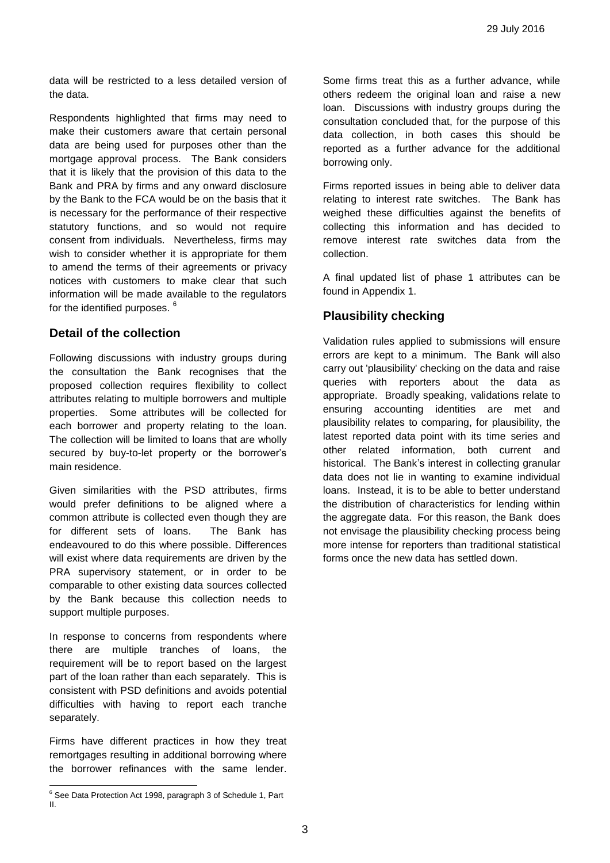data will be restricted to a less detailed version of the data.

Respondents highlighted that firms may need to make their customers aware that certain personal data are being used for purposes other than the mortgage approval process. The Bank considers that it is likely that the provision of this data to the Bank and PRA by firms and any onward disclosure by the Bank to the FCA would be on the basis that it is necessary for the performance of their respective statutory functions, and so would not require consent from individuals. Nevertheless, firms may wish to consider whether it is appropriate for them to amend the terms of their agreements or privacy notices with customers to make clear that such information will be made available to the regulators for the identified purposes.<sup>6</sup>

#### **Detail of the collection**

Following discussions with industry groups during the consultation the Bank recognises that the proposed collection requires flexibility to collect attributes relating to multiple borrowers and multiple properties. Some attributes will be collected for each borrower and property relating to the loan. The collection will be limited to loans that are wholly secured by buy-to-let property or the borrower's main residence.

Given similarities with the PSD attributes, firms would prefer definitions to be aligned where a common attribute is collected even though they are for different sets of loans. The Bank has endeavoured to do this where possible. Differences will exist where data requirements are driven by the PRA supervisory statement, or in order to be comparable to other existing data sources collected by the Bank because this collection needs to support multiple purposes.

In response to concerns from respondents where there are multiple tranches of loans, the requirement will be to report based on the largest part of the loan rather than each separately. This is consistent with PSD definitions and avoids potential difficulties with having to report each tranche separately.

Firms have different practices in how they treat remortgages resulting in additional borrowing where the borrower refinances with the same lender.

 $\overline{a}$ 

Some firms treat this as a further advance, while others redeem the original loan and raise a new loan. Discussions with industry groups during the consultation concluded that, for the purpose of this data collection, in both cases this should be reported as a further advance for the additional borrowing only.

Firms reported issues in being able to deliver data relating to interest rate switches. The Bank has weighed these difficulties against the benefits of collecting this information and has decided to remove interest rate switches data from the collection.

A final updated list of phase 1 attributes can be found in Appendix 1.

# **Plausibility checking**

Validation rules applied to submissions will ensure errors are kept to a minimum. The Bank will also carry out 'plausibility' checking on the data and raise queries with reporters about the data as appropriate. Broadly speaking, validations relate to ensuring accounting identities are met and plausibility relates to comparing, for plausibility, the latest reported data point with its time series and other related information, both current and historical. The Bank's interest in collecting granular data does not lie in wanting to examine individual loans. Instead, it is to be able to better understand the distribution of characteristics for lending within the aggregate data. For this reason, the Bank does not envisage the plausibility checking process being more intense for reporters than traditional statistical forms once the new data has settled down.

 $6$  See Data Protection Act 1998, paragraph 3 of Schedule 1, Part II.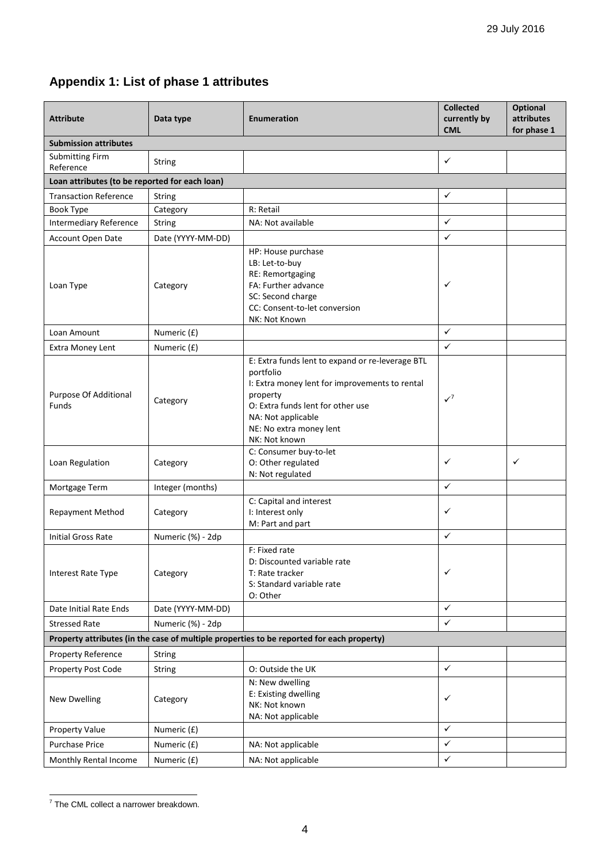# **Appendix 1: List of phase 1 attributes**

| <b>Attribute</b>                                                                          | Data type         | <b>Enumeration</b>                                                                                                                                                                                                                 | <b>Collected</b><br>currently by<br><b>CML</b> | <b>Optional</b><br>attributes<br>for phase 1 |  |  |  |
|-------------------------------------------------------------------------------------------|-------------------|------------------------------------------------------------------------------------------------------------------------------------------------------------------------------------------------------------------------------------|------------------------------------------------|----------------------------------------------|--|--|--|
| <b>Submission attributes</b>                                                              |                   |                                                                                                                                                                                                                                    |                                                |                                              |  |  |  |
| <b>Submitting Firm</b><br>Reference                                                       | <b>String</b>     |                                                                                                                                                                                                                                    | ✓                                              |                                              |  |  |  |
| Loan attributes (to be reported for each loan)                                            |                   |                                                                                                                                                                                                                                    |                                                |                                              |  |  |  |
| <b>Transaction Reference</b>                                                              | String            |                                                                                                                                                                                                                                    | ✓                                              |                                              |  |  |  |
| Book Type                                                                                 | Category          | R: Retail                                                                                                                                                                                                                          |                                                |                                              |  |  |  |
| <b>Intermediary Reference</b>                                                             | String            | NA: Not available                                                                                                                                                                                                                  | ✓                                              |                                              |  |  |  |
| <b>Account Open Date</b>                                                                  | Date (YYYY-MM-DD) |                                                                                                                                                                                                                                    | $\checkmark$                                   |                                              |  |  |  |
| Loan Type                                                                                 | Category          | HP: House purchase<br>LB: Let-to-buy<br>RE: Remortgaging<br>FA: Further advance<br>SC: Second charge<br>CC: Consent-to-let conversion<br>NK: Not Known                                                                             | ✓                                              |                                              |  |  |  |
| Loan Amount                                                                               | Numeric (£)       |                                                                                                                                                                                                                                    | ✓                                              |                                              |  |  |  |
| Extra Money Lent                                                                          | Numeric (£)       |                                                                                                                                                                                                                                    | $\checkmark$                                   |                                              |  |  |  |
| Purpose Of Additional<br><b>Funds</b>                                                     | Category          | E: Extra funds lent to expand or re-leverage BTL<br>portfolio<br>I: Extra money lent for improvements to rental<br>property<br>O: Extra funds lent for other use<br>NA: Not applicable<br>NE: No extra money lent<br>NK: Not known | $\checkmark$                                   |                                              |  |  |  |
| Loan Regulation                                                                           | Category          | C: Consumer buy-to-let<br>O: Other regulated<br>N: Not regulated                                                                                                                                                                   | ✓                                              | ✓                                            |  |  |  |
| Mortgage Term                                                                             | Integer (months)  |                                                                                                                                                                                                                                    | ✓                                              |                                              |  |  |  |
| <b>Repayment Method</b>                                                                   | Category          | C: Capital and interest<br>I: Interest only<br>M: Part and part                                                                                                                                                                    | ✓                                              |                                              |  |  |  |
| <b>Initial Gross Rate</b>                                                                 | Numeric (%) - 2dp |                                                                                                                                                                                                                                    | ✓                                              |                                              |  |  |  |
| Interest Rate Type                                                                        | Category          | F: Fixed rate<br>D: Discounted variable rate<br>T: Rate tracker<br>S: Standard variable rate<br>O: Other                                                                                                                           | ✓                                              |                                              |  |  |  |
| Date Initial Rate Ends                                                                    | Date (YYYY-MM-DD) |                                                                                                                                                                                                                                    | $\checkmark$                                   |                                              |  |  |  |
| <b>Stressed Rate</b>                                                                      | Numeric (%) - 2dp |                                                                                                                                                                                                                                    | $\checkmark$                                   |                                              |  |  |  |
| Property attributes (in the case of multiple properties to be reported for each property) |                   |                                                                                                                                                                                                                                    |                                                |                                              |  |  |  |
| Property Reference                                                                        | String            |                                                                                                                                                                                                                                    |                                                |                                              |  |  |  |
| Property Post Code                                                                        | <b>String</b>     | O: Outside the UK                                                                                                                                                                                                                  | $\checkmark$                                   |                                              |  |  |  |
| <b>New Dwelling</b>                                                                       | Category          | N: New dwelling<br>E: Existing dwelling<br>NK: Not known<br>NA: Not applicable                                                                                                                                                     | ✓                                              |                                              |  |  |  |
| Property Value                                                                            | Numeric (£)       |                                                                                                                                                                                                                                    | ✓                                              |                                              |  |  |  |
| <b>Purchase Price</b>                                                                     | Numeric (£)       | NA: Not applicable                                                                                                                                                                                                                 | ✓                                              |                                              |  |  |  |
| Monthly Rental Income                                                                     | Numeric (£)       | NA: Not applicable                                                                                                                                                                                                                 | ✓                                              |                                              |  |  |  |

 7 The CML collect a narrower breakdown.